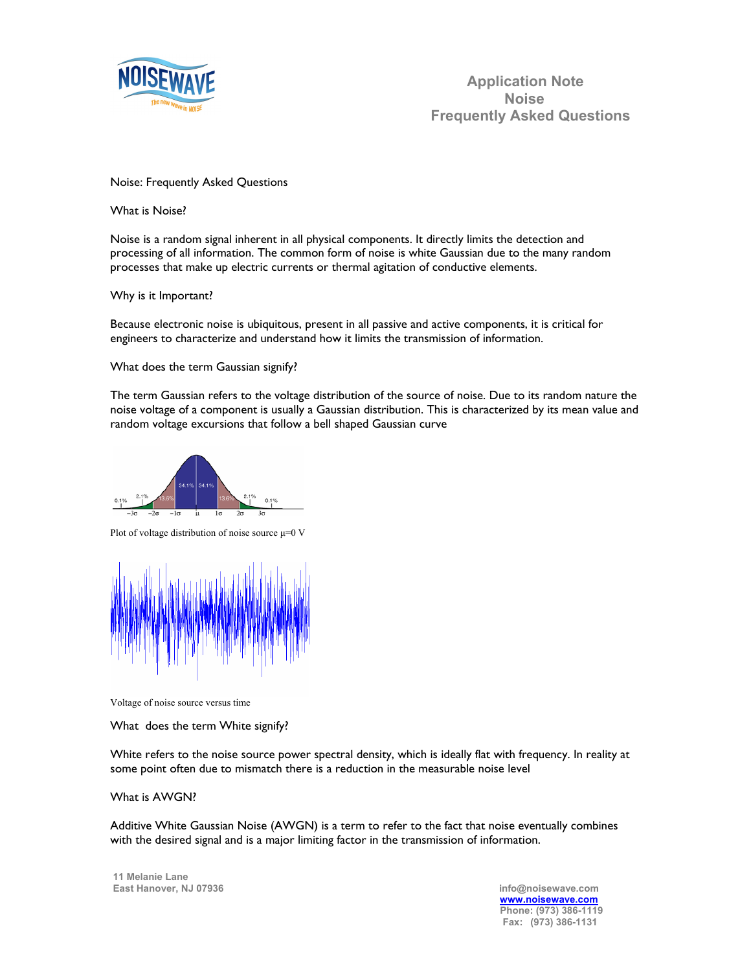

# Noise: Frequently Asked Questions

What is Noise?

Noise is a random signal inherent in all physical components. It directly limits the detection and processing of all information. The common form of noise is white Gaussian due to the many random processes that make up electric currents or thermal agitation of conductive elements.

Why is it Important?

Because electronic noise is ubiquitous, present in all passive and active components, it is critical for engineers to characterize and understand how it limits the transmission of information.

What does the term Gaussian signify?

The term Gaussian refers to the voltage distribution of the source of noise. Due to its random nature the noise voltage of a component is usually a Gaussian distribution. This is characterized by its mean value and random voltage excursions that follow a bell shaped Gaussian curve



Plot of voltage distribution of noise source  $\mu=0$  V



Voltage of noise source versus time

What does the term White signify?

White refers to the noise source power spectral density, which is ideally flat with frequency. In reality at some point often due to mismatch there is a reduction in the measurable noise level

#### What is AWGN?

Additive White Gaussian Noise (AWGN) is a term to refer to the fact that noise eventually combines with the desired signal and is a major limiting factor in the transmission of information.

 **11 Melanie Lane East Hanover, NJ 07936 info@noisewave.com**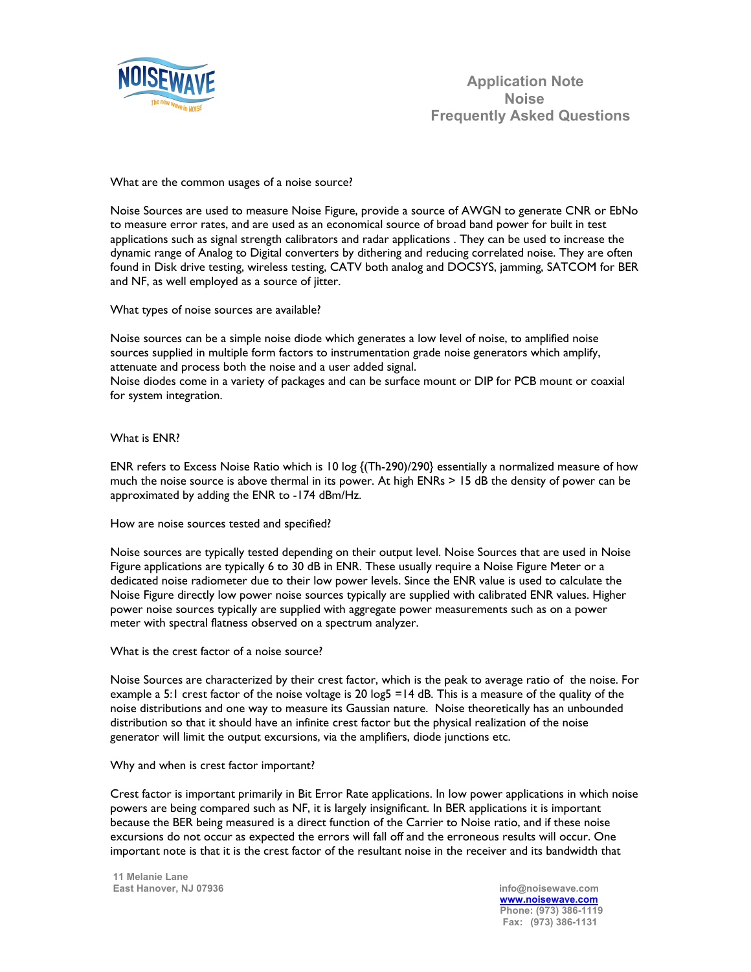

What are the common usages of a noise source?

Noise Sources are used to measure Noise Figure, provide a source of AWGN to generate CNR or EbNo to measure error rates, and are used as an economical source of broad band power for built in test applications such as signal strength calibrators and radar applications . They can be used to increase the dynamic range of Analog to Digital converters by dithering and reducing correlated noise. They are often found in Disk drive testing, wireless testing, CATV both analog and DOCSYS, jamming, SATCOM for BER and NF, as well employed as a source of jitter.

What types of noise sources are available?

Noise sources can be a simple noise diode which generates a low level of noise, to amplified noise sources supplied in multiple form factors to instrumentation grade noise generators which amplify, attenuate and process both the noise and a user added signal.

Noise diodes come in a variety of packages and can be surface mount or DIP for PCB mount or coaxial for system integration.

What is ENR?

ENR refers to Excess Noise Ratio which is 10 log {(Th-290)/290} essentially a normalized measure of how much the noise source is above thermal in its power. At high ENRs > 15 dB the density of power can be approximated by adding the ENR to -174 dBm/Hz.

How are noise sources tested and specified?

Noise sources are typically tested depending on their output level. Noise Sources that are used in Noise Figure applications are typically 6 to 30 dB in ENR. These usually require a Noise Figure Meter or a dedicated noise radiometer due to their low power levels. Since the ENR value is used to calculate the Noise Figure directly low power noise sources typically are supplied with calibrated ENR values. Higher power noise sources typically are supplied with aggregate power measurements such as on a power meter with spectral flatness observed on a spectrum analyzer.

What is the crest factor of a noise source?

Noise Sources are characterized by their crest factor, which is the peak to average ratio of the noise. For example a 5:1 crest factor of the noise voltage is 20 log5 =14 dB. This is a measure of the quality of the noise distributions and one way to measure its Gaussian nature. Noise theoretically has an unbounded distribution so that it should have an infinite crest factor but the physical realization of the noise generator will limit the output excursions, via the amplifiers, diode junctions etc.

Why and when is crest factor important?

Crest factor is important primarily in Bit Error Rate applications. In low power applications in which noise powers are being compared such as NF, it is largely insignificant. In BER applications it is important because the BER being measured is a direct function of the Carrier to Noise ratio, and if these noise excursions do not occur as expected the errors will fall off and the erroneous results will occur. One important note is that it is the crest factor of the resultant noise in the receiver and its bandwidth that

 **11 Melanie Lane East Hanover, NJ 07936 info@noisewave.com**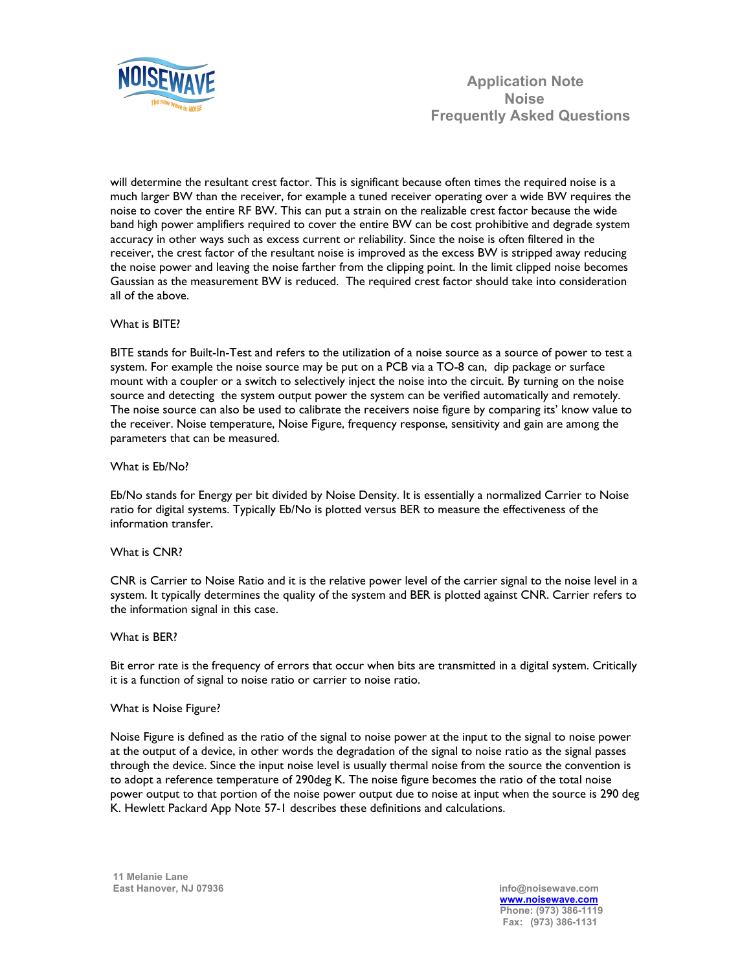

 **Application Note Noise Frequently Asked Questions** 

will determine the resultant crest factor. This is significant because often times the required noise is a much larger BW than the receiver, for example a tuned receiver operating over a wide BW requires the noise to cover the entire RF BW. This can put a strain on the realizable crest factor because the wide band high power amplifiers required to cover the entire BW can be cost prohibitive and degrade system accuracy in other ways such as excess current or reliability. Since the noise is often filtered in the receiver, the crest factor of the resultant noise is improved as the excess BW is stripped away reducing the noise power and leaving the noise farther from the clipping point. In the limit clipped noise becomes Gaussian as the measurement BW is reduced. The required crest factor should take into consideration all of the above.

# What is BITE?

BITE stands for Built-In-Test and refers to the utilization of a noise source as a source of power to test a system. For example the noise source may be put on a PCB via a TO-8 can, dip package or surface mount with a coupler or a switch to selectively inject the noise into the circuit. By turning on the noise source and detecting the system output power the system can be verified automatically and remotely. The noise source can also be used to calibrate the receivers noise figure by comparing its' know value to the receiver. Noise temperature, Noise Figure, frequency response, sensitivity and gain are among the parameters that can be measured.

## What is Eb/No?

Eb/No stands for Energy per bit divided by Noise Density. It is essentially a normalized Carrier to Noise ratio for digital systems. Typically Eb/No is plotted versus BER to measure the effectiveness of the information transfer.

## What is CNR?

CNR is Carrier to Noise Ratio and it is the relative power level of the carrier signal to the noise level in a system. It typically determines the quality of the system and BER is plotted against CNR. Carrier refers to the information signal in this case.

## What is BER?

Bit error rate is the frequency of errors that occur when bits are transmitted in a digital system. Critically it is a function of signal to noise ratio or carrier to noise ratio.

## What is Noise Figure?

Noise Figure is defined as the ratio of the signal to noise power at the input to the signal to noise power at the output of a device, in other words the degradation of the signal to noise ratio as the signal passes through the device. Since the input noise level is usually thermal noise from the source the convention is to adopt a reference temperature of 290deg K. The noise figure becomes the ratio of the total noise power output to that portion of the noise power output due to noise at input when the source is 290 deg K. Hewlett Packard App Note 57-1 describes these definitions and calculations.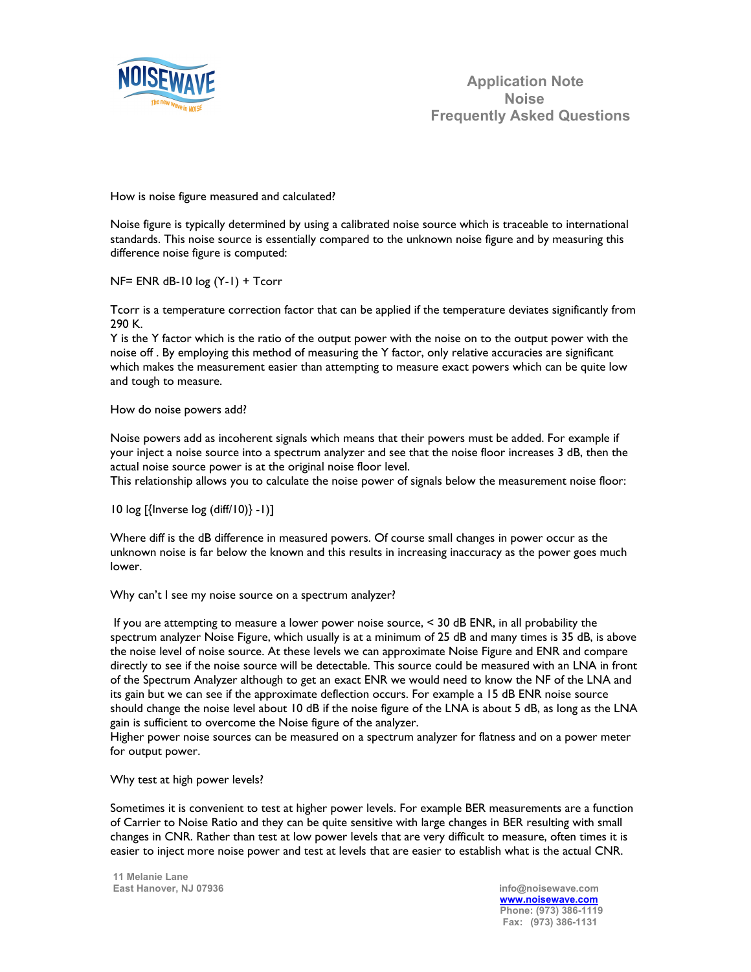

How is noise figure measured and calculated?

Noise figure is typically determined by using a calibrated noise source which is traceable to international standards. This noise source is essentially compared to the unknown noise figure and by measuring this difference noise figure is computed:

NF= ENR dB-10 log (Y-1) + Tcorr

Tcorr is a temperature correction factor that can be applied if the temperature deviates significantly from 290 K.

Y is the Y factor which is the ratio of the output power with the noise on to the output power with the noise off . By employing this method of measuring the Y factor, only relative accuracies are significant which makes the measurement easier than attempting to measure exact powers which can be quite low and tough to measure.

## How do noise powers add?

Noise powers add as incoherent signals which means that their powers must be added. For example if your inject a noise source into a spectrum analyzer and see that the noise floor increases 3 dB, then the actual noise source power is at the original noise floor level.

This relationship allows you to calculate the noise power of signals below the measurement noise floor:

10 log [{Inverse log (diff/10)} -1)]

Where diff is the dB difference in measured powers. Of course small changes in power occur as the unknown noise is far below the known and this results in increasing inaccuracy as the power goes much lower.

Why can't I see my noise source on a spectrum analyzer?

If you are attempting to measure a lower power noise source,  $<$  30 dB ENR, in all probability the spectrum analyzer Noise Figure, which usually is at a minimum of 25 dB and many times is 35 dB, is above the noise level of noise source. At these levels we can approximate Noise Figure and ENR and compare directly to see if the noise source will be detectable. This source could be measured with an LNA in front of the Spectrum Analyzer although to get an exact ENR we would need to know the NF of the LNA and its gain but we can see if the approximate deflection occurs. For example a 15 dB ENR noise source should change the noise level about 10 dB if the noise figure of the LNA is about 5 dB, as long as the LNA gain is sufficient to overcome the Noise figure of the analyzer.

Higher power noise sources can be measured on a spectrum analyzer for flatness and on a power meter for output power.

Why test at high power levels?

Sometimes it is convenient to test at higher power levels. For example BER measurements are a function of Carrier to Noise Ratio and they can be quite sensitive with large changes in BER resulting with small changes in CNR. Rather than test at low power levels that are very difficult to measure, often times it is easier to inject more noise power and test at levels that are easier to establish what is the actual CNR.

 **11 Melanie Lane East Hanover, NJ 07936 info@noisewave.com**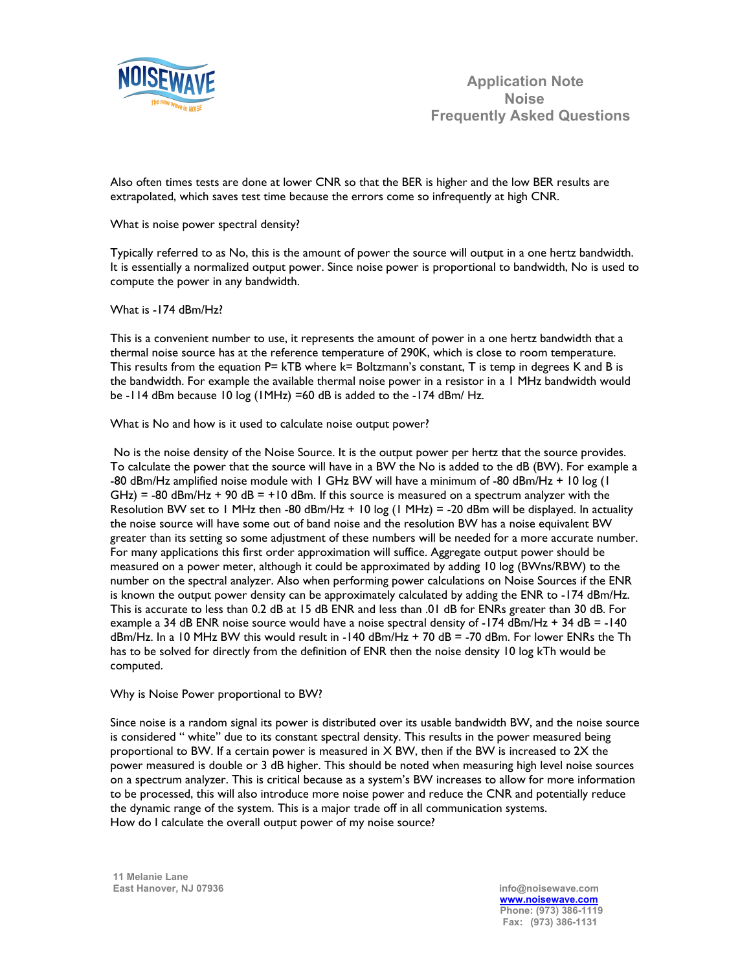

Also often times tests are done at lower CNR so that the BER is higher and the low BER results are extrapolated, which saves test time because the errors come so infrequently at high CNR.

# What is noise power spectral density?

Typically referred to as No, this is the amount of power the source will output in a one hertz bandwidth. It is essentially a normalized output power. Since noise power is proportional to bandwidth, No is used to compute the power in any bandwidth.

# What is -174 dBm/Hz?

This is a convenient number to use, it represents the amount of power in a one hertz bandwidth that a thermal noise source has at the reference temperature of 290K, which is close to room temperature. This results from the equation  $P=$  kTB where  $k=$  Boltzmann's constant,  $T$  is temp in degrees K and B is the bandwidth. For example the available thermal noise power in a resistor in a 1 MHz bandwidth would be -114 dBm because 10 log (1MHz) =60 dB is added to the -174 dBm/ Hz.

What is No and how is it used to calculate noise output power?

 No is the noise density of the Noise Source. It is the output power per hertz that the source provides. To calculate the power that the source will have in a BW the No is added to the dB (BW). For example a -80 dBm/Hz amplified noise module with 1 GHz BW will have a minimum of -80 dBm/Hz + 10 log (1  $G$ Hz) = -80 dBm/Hz + 90 dB = +10 dBm. If this source is measured on a spectrum analyzer with the Resolution BW set to 1 MHz then -80 dBm/Hz + 10 log (1 MHz) = -20 dBm will be displayed. In actuality the noise source will have some out of band noise and the resolution BW has a noise equivalent BW greater than its setting so some adjustment of these numbers will be needed for a more accurate number. For many applications this first order approximation will suffice. Aggregate output power should be measured on a power meter, although it could be approximated by adding 10 log (BWns/RBW) to the number on the spectral analyzer. Also when performing power calculations on Noise Sources if the ENR is known the output power density can be approximately calculated by adding the ENR to -174 dBm/Hz. This is accurate to less than 0.2 dB at 15 dB ENR and less than .01 dB for ENRs greater than 30 dB. For example a 34 dB ENR noise source would have a noise spectral density of -174 dBm/Hz + 34 dB = -140 dBm/Hz. In a 10 MHz BW this would result in -140 dBm/Hz + 70 dB = -70 dBm. For lower ENRs the Th has to be solved for directly from the definition of ENR then the noise density 10 log kTh would be computed.

# Why is Noise Power proportional to BW?

Since noise is a random signal its power is distributed over its usable bandwidth BW, and the noise source is considered " white" due to its constant spectral density. This results in the power measured being proportional to BW. If a certain power is measured in  $X$  BW, then if the BW is increased to 2X the power measured is double or 3 dB higher. This should be noted when measuring high level noise sources on a spectrum analyzer. This is critical because as a system's BW increases to allow for more information to be processed, this will also introduce more noise power and reduce the CNR and potentially reduce the dynamic range of the system. This is a major trade off in all communication systems. How do I calculate the overall output power of my noise source?

 **11 Melanie Lane East Hanover, NJ 07936 info@noisewave.com**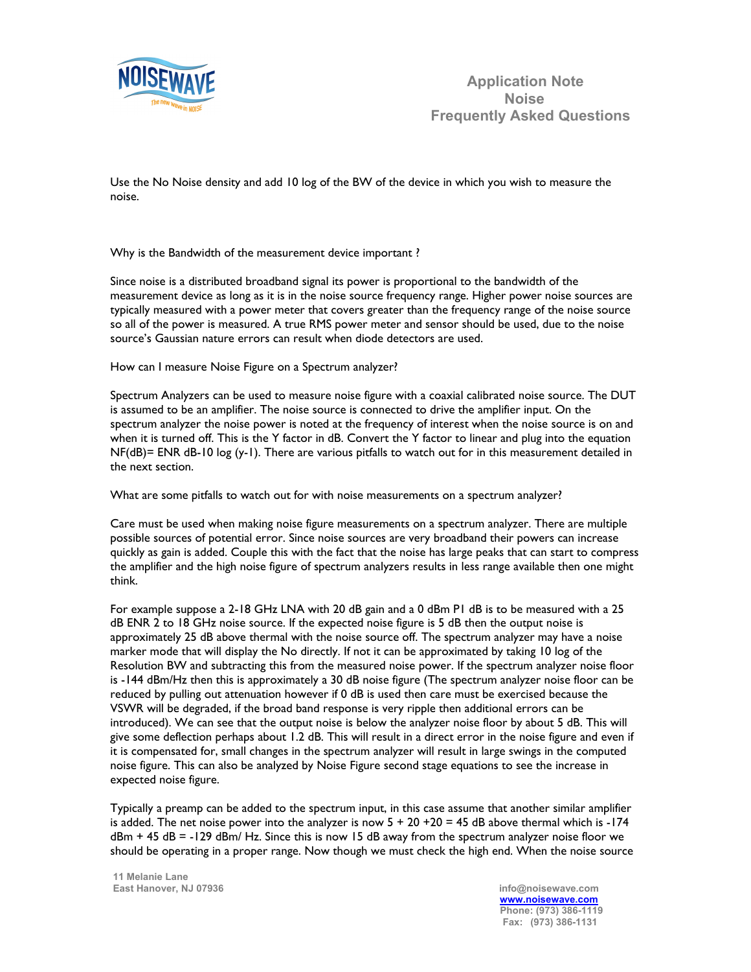

Use the No Noise density and add 10 log of the BW of the device in which you wish to measure the noise.

Why is the Bandwidth of the measurement device important ?

Since noise is a distributed broadband signal its power is proportional to the bandwidth of the measurement device as long as it is in the noise source frequency range. Higher power noise sources are typically measured with a power meter that covers greater than the frequency range of the noise source so all of the power is measured. A true RMS power meter and sensor should be used, due to the noise source's Gaussian nature errors can result when diode detectors are used.

How can I measure Noise Figure on a Spectrum analyzer?

Spectrum Analyzers can be used to measure noise figure with a coaxial calibrated noise source. The DUT is assumed to be an amplifier. The noise source is connected to drive the amplifier input. On the spectrum analyzer the noise power is noted at the frequency of interest when the noise source is on and when it is turned off. This is the Y factor in dB. Convert the Y factor to linear and plug into the equation NF(dB)= ENR dB-10 log (y-1). There are various pitfalls to watch out for in this measurement detailed in the next section.

What are some pitfalls to watch out for with noise measurements on a spectrum analyzer?

Care must be used when making noise figure measurements on a spectrum analyzer. There are multiple possible sources of potential error. Since noise sources are very broadband their powers can increase quickly as gain is added. Couple this with the fact that the noise has large peaks that can start to compress the amplifier and the high noise figure of spectrum analyzers results in less range available then one might think.

For example suppose a 2-18 GHz LNA with 20 dB gain and a 0 dBm P1 dB is to be measured with a 25 dB ENR 2 to 18 GHz noise source. If the expected noise figure is 5 dB then the output noise is approximately 25 dB above thermal with the noise source off. The spectrum analyzer may have a noise marker mode that will display the No directly. If not it can be approximated by taking 10 log of the Resolution BW and subtracting this from the measured noise power. If the spectrum analyzer noise floor is -144 dBm/Hz then this is approximately a 30 dB noise figure (The spectrum analyzer noise floor can be reduced by pulling out attenuation however if 0 dB is used then care must be exercised because the VSWR will be degraded, if the broad band response is very ripple then additional errors can be introduced). We can see that the output noise is below the analyzer noise floor by about 5 dB. This will give some deflection perhaps about 1.2 dB. This will result in a direct error in the noise figure and even if it is compensated for, small changes in the spectrum analyzer will result in large swings in the computed noise figure. This can also be analyzed by Noise Figure second stage equations to see the increase in expected noise figure.

Typically a preamp can be added to the spectrum input, in this case assume that another similar amplifier is added. The net noise power into the analyzer is now  $5 + 20 + 20 = 45$  dB above thermal which is -174  $dBm + 45 dB = -129$  dBm/ Hz. Since this is now 15 dB away from the spectrum analyzer noise floor we should be operating in a proper range. Now though we must check the high end. When the noise source

 **11 Melanie Lane East Hanover, NJ 07936 info@noisewave.com**